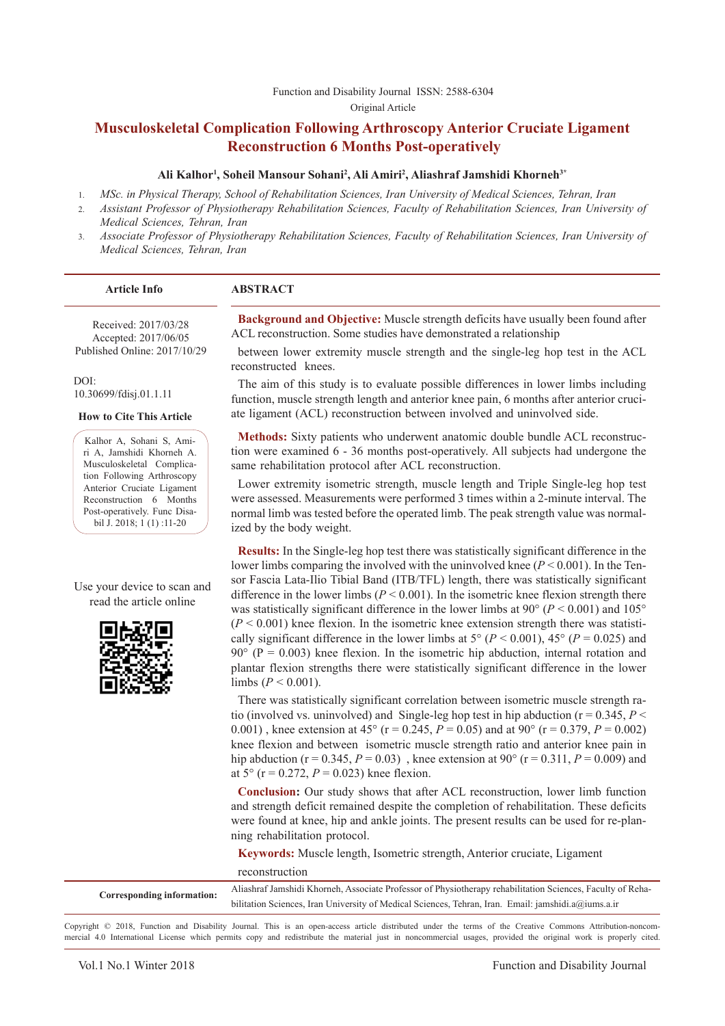Function and Disability Journal ISSN: 2588-6304 Original Article

# **Musculoskeletal Complication Following Arthroscopy Anterior Cruciate Ligament Reconstruction 6 Months Post-operatively**

#### **Ali Kalhor1 , Soheil Mansour Sohani2 , Ali Amiri2 , Aliashraf Jamshidi Khorneh3\***

- 1. *MSc. in Physical Therapy, School of Rehabilitation Sciences, Iran University of Medical Sciences, Tehran, Iran*
- 2. *Assistant Professor of Physiotherapy Rehabilitation Sciences, Faculty of Rehabilitation Sciences, Iran University of Medical Sciences, Tehran, Iran*
- 3. *Associate Professor of Physiotherapy Rehabilitation Sciences, Faculty of Rehabilitation Sciences, Iran University of Medical Sciences, Tehran, Iran*

Received: 2017/03/28 Accepted: 2017/06/05 Published Online: 2017/10/29

 $DOI<sup>+</sup>$ 10.30699/fdisj.01.1.11

**How to Cite This Article**

Kalhor A, Sohani S, Amiri A, Jamshidi Khorneh A. Musculoskeletal Complication Following Arthroscopy Anterior Cruciate Ligament Reconstruction 6 Months Post-operatively. Func Disabil J. 2018; 1 (1) :11-20

Use your device to scan and read the article online



**Background and Objective:** Muscle strength deficits have usually been found after ACL reconstruction. Some studies have demonstrated a relationship

between lower extremity muscle strength and the single-leg hop test in the ACL reconstructed knees.

The aim of this study is to evaluate possible differences in lower limbs including function, muscle strength length and anterior knee pain, 6 months after anterior cruciate ligament (ACL) reconstruction between involved and uninvolved side.

**Methods:** Sixty patients who underwent anatomic double bundle ACL reconstruction were examined 6 - 36 months post-operatively. All subjects had undergone the same rehabilitation protocol after ACL reconstruction.

Lower extremity isometric strength, muscle length and Triple Single-leg hop test were assessed. Measurements were performed 3 times within a 2-minute interval. The normal limb was tested before the operated limb. The peak strength value was normalized by the body weight.

**Results:** In the Single-leg hop test there was statistically significant difference in the lower limbs comparing the involved with the uninvolved knee (*P* < 0.001). In the Tensor Fascia Lata-Ilio Tibial Band (ITB/TFL) length, there was statistically significant difference in the lower limbs ( $P \le 0.001$ ). In the isometric knee flexion strength there was statistically significant difference in the lower limbs at  $90^{\circ}$  ( $P < 0.001$ ) and  $105^{\circ}$  $(P < 0.001)$  knee flexion. In the isometric knee extension strength there was statistically significant difference in the lower limbs at  $5^{\circ}$  ( $P < 0.001$ ),  $45^{\circ}$  ( $P = 0.025$ ) and  $90^{\circ}$  (P = 0.003) knee flexion. In the isometric hip abduction, internal rotation and plantar flexion strengths there were statistically significant difference in the lower limbs ( $P < 0.001$ ).

There was statistically significant correlation between isometric muscle strength ratio (involved vs. uninvolved) and Single-leg hop test in hip abduction ( $r = 0.345, P <$ 0.001), knee extension at 45° ( $r = 0.245$ ,  $P = 0.05$ ) and at 90° ( $r = 0.379$ ,  $P = 0.002$ ) knee flexion and between isometric muscle strength ratio and anterior knee pain in hip abduction ( $r = 0.345$ ,  $P = 0.03$ ), knee extension at 90° ( $r = 0.311$ ,  $P = 0.009$ ) and at  $5^{\circ}$  (r = 0.272,  $P = 0.023$ ) knee flexion.

**Conclusion:** Our study shows that after ACL reconstruction, lower limb function and strength deficit remained despite the completion of rehabilitation. These deficits were found at knee, hip and ankle joints. The present results can be used for re-planning rehabilitation protocol.

**Keywords:** Muscle length, Isometric strength, Anterior cruciate, Ligament reconstruction

| Corresponding information: | Aliashraf Jamshidi Khorneh, Associate Professor of Physiotherapy rehabilitation Sciences, Faculty of Reha- |
|----------------------------|------------------------------------------------------------------------------------------------------------|
|                            | bilitation Sciences, Iran University of Medical Sciences, Tehran, Iran. Email: jamshidi.a@jums.a.ir        |
|                            |                                                                                                            |

Copyright © 2018, Function and Disability Journal. This is an open-access article distributed under the terms of the Creative Commons Attribution-noncommercial 4.0 International License which permits copy and redistribute the material just in noncommercial usages, provided the original work is properly cited.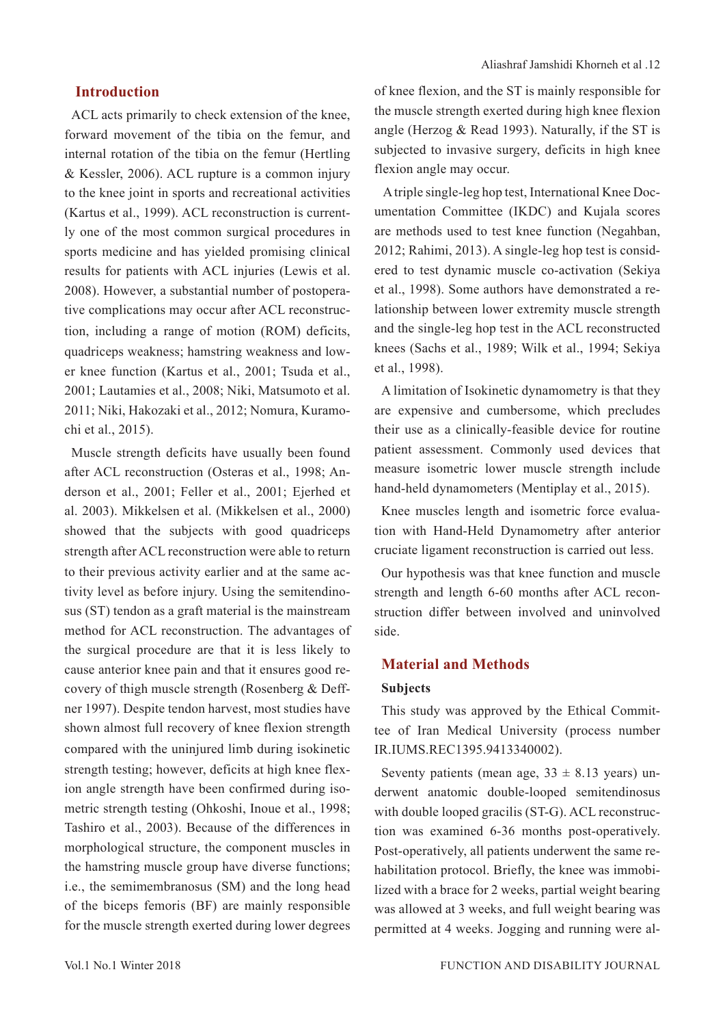## **Introduction**

ACL acts primarily to check extension of the knee, forward movement of the tibia on the femur, and internal rotation of the tibia on the femur (Hertling & Kessler, 2006). ACL rupture is a common injury to the knee joint in sports and recreational activities (Kartus et al., 1999). ACL reconstruction is currently one of the most common surgical procedures in sports medicine and has yielded promising clinical results for patients with ACL injuries (Lewis et al. 2008). However, a substantial number of postoperative complications may occur after ACL reconstruction, including a range of motion (ROM) deficits, quadriceps weakness; hamstring weakness and lower knee function (Kartus et al., 2001; Tsuda et al., 2001; Lautamies et al., 2008; Niki, Matsumoto et al. 2011; Niki, Hakozaki et al., 2012; Nomura, Kuramochi et al., 2015).

Muscle strength deficits have usually been found after ACL reconstruction (Osteras et al., 1998; Anderson et al., 2001; Feller et al., 2001; Ejerhed et al. 2003). Mikkelsen et al. (Mikkelsen et al., 2000) showed that the subjects with good quadriceps strength after ACL reconstruction were able to return to their previous activity earlier and at the same activity level as before injury. Using the semitendinosus (ST) tendon as a graft material is the mainstream method for ACL reconstruction. The advantages of the surgical procedure are that it is less likely to cause anterior knee pain and that it ensures good recovery of thigh muscle strength (Rosenberg & Deffner 1997). Despite tendon harvest, most studies have shown almost full recovery of knee flexion strength compared with the uninjured limb during isokinetic strength testing; however, deficits at high knee flexion angle strength have been confirmed during isometric strength testing (Ohkoshi, Inoue et al., 1998; Tashiro et al., 2003). Because of the differences in morphological structure, the component muscles in the hamstring muscle group have diverse functions; i.e., the semimembranosus (SM) and the long head of the biceps femoris (BF) are mainly responsible for the muscle strength exerted during lower degrees

of knee flexion, and the ST is mainly responsible for the muscle strength exerted during high knee flexion angle (Herzog & Read 1993). Naturally, if the ST is subjected to invasive surgery, deficits in high knee flexion angle may occur.

 A triple single-leg hop test, International Knee Documentation Committee (IKDC) and Kujala scores are methods used to test knee function (Negahban, 2012; Rahimi, 2013). A single-leg hop test is considered to test dynamic muscle co-activation (Sekiya et al., 1998). Some authors have demonstrated a relationship between lower extremity muscle strength and the single-leg hop test in the ACL reconstructed knees (Sachs et al., 1989; Wilk et al., 1994; Sekiya et al., 1998).

A limitation of Isokinetic dynamometry is that they are expensive and cumbersome, which precludes their use as a clinically-feasible device for routine patient assessment. Commonly used devices that measure isometric lower muscle strength include hand-held dynamometers (Mentiplay et al., 2015).

Knee muscles length and isometric force evaluation with Hand-Held Dynamometry after anterior cruciate ligament reconstruction is carried out less.

Our hypothesis was that knee function and muscle strength and length 6-60 months after ACL reconstruction differ between involved and uninvolved side.

## **Material and Methods**

#### **Subjects**

This study was approved by the Ethical Committee of Iran Medical University (process number IR.IUMS.REC1395.9413340002).

Seventy patients (mean age,  $33 \pm 8.13$  years) underwent anatomic double-looped semitendinosus with double looped gracilis (ST-G). ACL reconstruction was examined 6-36 months post-operatively. Post-operatively, all patients underwent the same rehabilitation protocol. Briefly, the knee was immobilized with a brace for 2 weeks, partial weight bearing was allowed at 3 weeks, and full weight bearing was permitted at 4 weeks. Jogging and running were al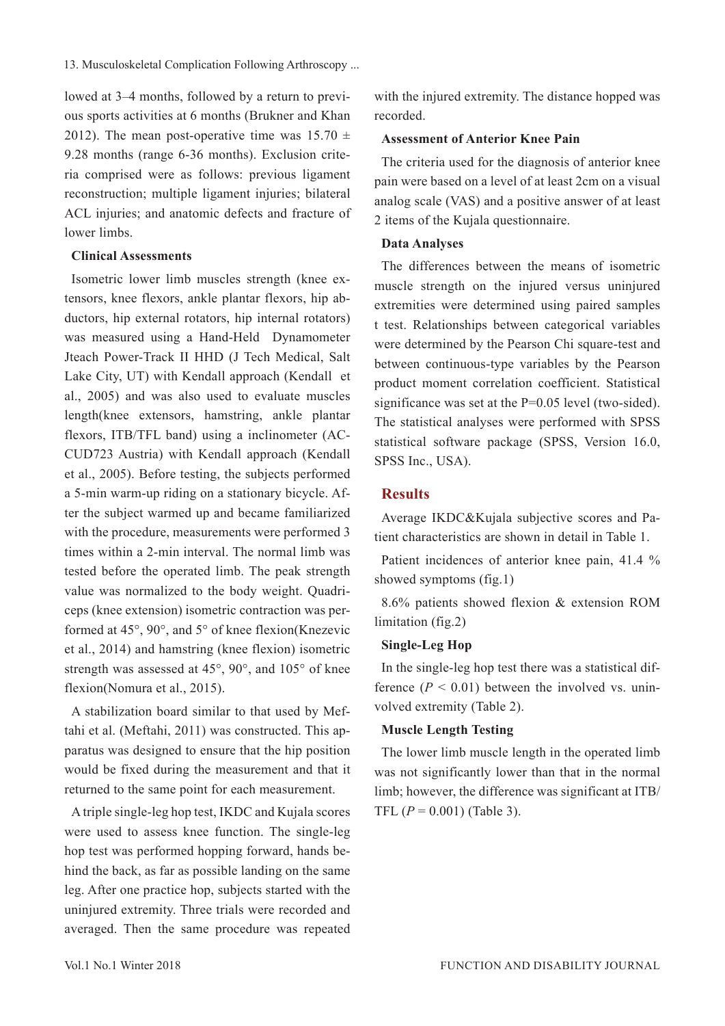lowed at 3–4 months, followed by a return to previous sports activities at 6 months (Brukner and Khan 2012). The mean post-operative time was  $15.70 \pm 10^{-10}$ 9.28 months (range 6-36 months). Exclusion criteria comprised were as follows: previous ligament reconstruction; multiple ligament injuries; bilateral ACL injuries; and anatomic defects and fracture of lower limbs.

## **Clinical Assessments**

Isometric lower limb muscles strength (knee extensors, knee flexors, ankle plantar flexors, hip abductors, hip external rotators, hip internal rotators) was measured using a Hand-Held Dynamometer Jteach Power-Track II HHD (J Tech Medical, Salt Lake City, UT) with Kendall approach (Kendall et al., 2005) and was also used to evaluate muscles length(knee extensors, hamstring, ankle plantar flexors, ITB/TFL band) using a inclinometer (AC-CUD723 Austria) with Kendall approach (Kendall et al., 2005). Before testing, the subjects performed a 5-min warm-up riding on a stationary bicycle. After the subject warmed up and became familiarized with the procedure, measurements were performed 3 times within a 2-min interval. The normal limb was tested before the operated limb. The peak strength value was normalized to the body weight. Quadriceps (knee extension) isometric contraction was performed at 45°, 90°, and 5° of knee flexion(Knezevic et al., 2014) and hamstring (knee flexion) isometric strength was assessed at 45°, 90°, and 105° of knee flexion(Nomura et al., 2015).

A stabilization board similar to that used by Meftahi et al. (Meftahi, 2011) was constructed. This apparatus was designed to ensure that the hip position would be fixed during the measurement and that it returned to the same point for each measurement.

A triple single-leg hop test, IKDC and Kujala scores were used to assess knee function. The single-leg hop test was performed hopping forward, hands behind the back, as far as possible landing on the same leg. After one practice hop, subjects started with the uninjured extremity. Three trials were recorded and averaged. Then the same procedure was repeated

with the injured extremity. The distance hopped was recorded.

## **Assessment of Anterior Knee Pain**

The criteria used for the diagnosis of anterior knee pain were based on a level of at least 2cm on a visual analog scale (VAS) and a positive answer of at least 2 items of the Kujala questionnaire.

#### **Data Analyses**

The differences between the means of isometric muscle strength on the injured versus uninjured extremities were determined using paired samples t test. Relationships between categorical variables were determined by the Pearson Chi square-test and between continuous-type variables by the Pearson product moment correlation coefficient. Statistical significance was set at the  $P=0.05$  level (two-sided). The statistical analyses were performed with SPSS statistical software package (SPSS, Version 16.0, SPSS Inc., USA).

## **Results**

Average IKDC&Kujala subjective scores and Patient characteristics are shown in detail in Table 1.

Patient incidences of anterior knee pain, 41.4 % showed symptoms (fig.1)

8.6% patients showed flexion & extension ROM limitation (fig.2)

## **Single-Leg Hop**

In the single-leg hop test there was a statistical difference  $(P < 0.01)$  between the involved vs. uninvolved extremity (Table 2).

## **Muscle Length Testing**

The lower limb muscle length in the operated limb was not significantly lower than that in the normal limb; however, the difference was significant at ITB/ TFL  $(P = 0.001)$  (Table 3).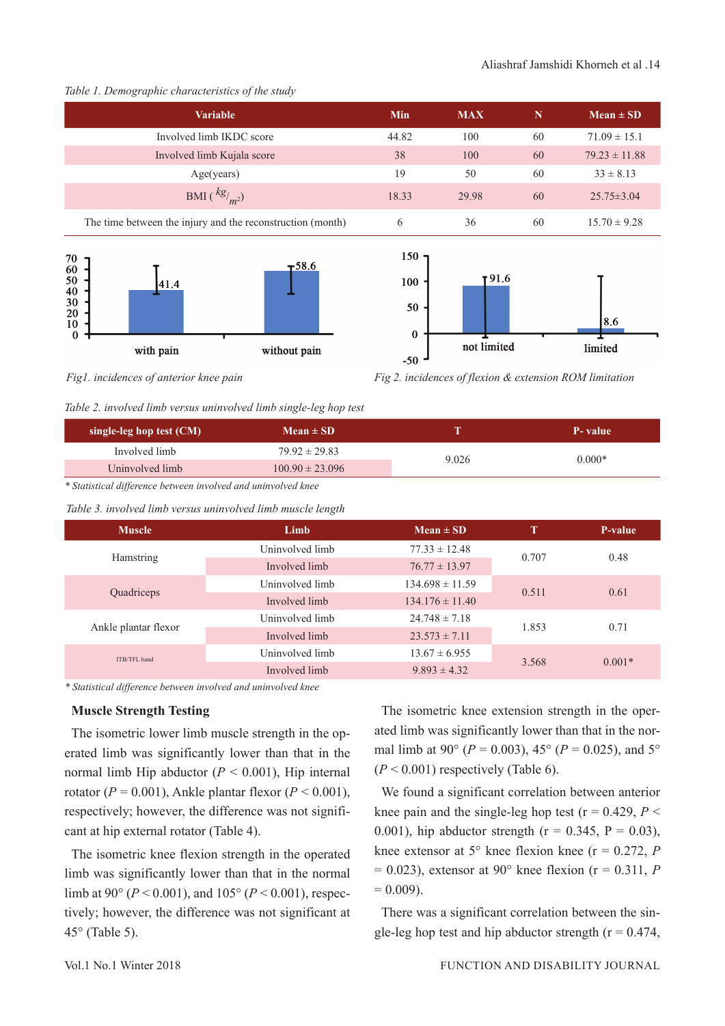#### Aliashraf Jamshidi Khorneh et al .14

#### *Table 1. Demographic characteristics of the study*

| <b>Variable</b>                                            | Min   | <b>MAX</b> | N  | $Mean \pm SD$     |
|------------------------------------------------------------|-------|------------|----|-------------------|
| Involved limb IKDC score                                   | 44.82 | 100        | 60 | $71.09 \pm 15.1$  |
| Involved limb Kujala score                                 | 38    | 100        | 60 | $79.23 \pm 11.88$ |
| Age(years)                                                 | 19    | 50         | 60 | $33 \pm 8.13$     |
| BMI $\left(\frac{kg}{m^2}\right)$                          | 18.33 | 29.98      | 60 | $25.75 \pm 3.04$  |
| The time between the injury and the reconstruction (month) | 6     | 36         | 60 | $15.70 \pm 9.28$  |





*Fig1. incidences of anterior knee pain Fig 2. incidences of flexion & extension ROM limitation*

|  | Table 2. involved limb versus uninvolved limb single-leg hop test |  |  |  |  |  |  |
|--|-------------------------------------------------------------------|--|--|--|--|--|--|
|--|-------------------------------------------------------------------|--|--|--|--|--|--|

| single-leg hop test $(CM)$ | $Mean \pm SD$       |       | P-value  |
|----------------------------|---------------------|-------|----------|
| Involved limb              | $79.92 \pm 29.83$   | 9.026 | $0.000*$ |
| Uninvolved limb            | $100.90 \pm 23.096$ |       |          |
| .                          |                     |       |          |

*\* Statistical difference between involved and uninvolved knee*

*Table 3. involved limb versus uninvolved limb muscle length*

| <b>Muscle</b>        | Limb            | $Mean \pm SD$              |       | P-value  |
|----------------------|-----------------|----------------------------|-------|----------|
|                      | Uninvolved limb | $77.33 \pm 12.48$          |       | 0.48     |
| Hamstring            | Involved limb   | 0.707<br>$76.77 \pm 13.97$ |       |          |
|                      | Uninvolved limb | $134.698 \pm 11.59$        | 0.511 | 0.61     |
| Quadriceps           | Involved limb   | $134.176 \pm 11.40$        |       |          |
|                      | Uninvolved limb | $24.748 \pm 7.18$<br>1.853 |       | 0.71     |
| Ankle plantar flexor | Involved limb   | $23.573 \pm 7.11$          |       |          |
| ITB/TFL band         | Uninvolved limb | $13.67 \pm 6.955$          |       | $0.001*$ |
|                      | Involved limb   | $9.893 \pm 4.32$           | 3.568 |          |
|                      |                 |                            |       |          |

*\* Statistical difference between involved and uninvolved knee*

## **Muscle Strength Testing**

The isometric lower limb muscle strength in the operated limb was significantly lower than that in the normal limb Hip abductor  $(P < 0.001)$ , Hip internal rotator ( $P = 0.001$ ), Ankle plantar flexor ( $P < 0.001$ ), respectively; however, the difference was not significant at hip external rotator (Table 4).

The isometric knee flexion strength in the operated limb was significantly lower than that in the normal limb at 90° (*P* < 0.001), and 105° (*P* < 0.001), respectively; however, the difference was not significant at 45° (Table 5).

The isometric knee extension strength in the operated limb was significantly lower than that in the normal limb at 90° ( $P = 0.003$ ), 45° ( $P = 0.025$ ), and 5°  $(P < 0.001)$  respectively (Table 6).

We found a significant correlation between anterior knee pain and the single-leg hop test ( $r = 0.429$ ,  $P <$ 0.001), hip abductor strength ( $r = 0.345$ ,  $P = 0.03$ ), knee extensor at  $5^\circ$  knee flexion knee ( $r = 0.272$ , *P*  $= 0.023$ ), extensor at 90 $^{\circ}$  knee flexion (r = 0.311, *P*  $= 0.009$ .

There was a significant correlation between the single-leg hop test and hip abductor strength ( $r = 0.474$ ,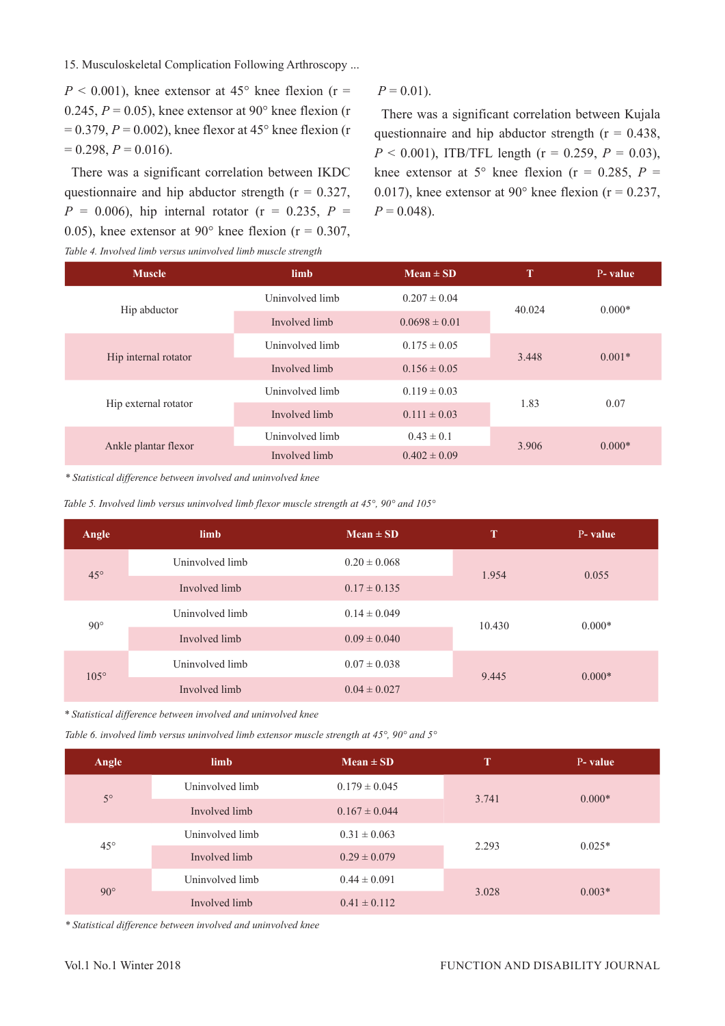15. Musculoskeletal Complication Following Arthroscopy ...

 $P < 0.001$ ), knee extensor at 45° knee flexion (r = 0.245,  $P = 0.05$ ), knee extensor at 90° knee flexion (r  $= 0.379$ ,  $P = 0.002$ ), knee flexor at 45° knee flexion (r  $= 0.298, P = 0.016$ .

There was a significant correlation between IKDC questionnaire and hip abductor strength ( $r = 0.327$ ,  $P = 0.006$ , hip internal rotator (r = 0.235,  $P =$ 0.05), knee extensor at 90 $^{\circ}$  knee flexion (r = 0.307, *Table 4. Involved limb versus uninvolved limb muscle strength*

#### $P = 0.01$ .

There was a significant correlation between Kujala questionnaire and hip abductor strength ( $r = 0.438$ ,  $P < 0.001$ ), ITB/TFL length ( $r = 0.259$ ,  $P = 0.03$ ), knee extensor at 5° knee flexion ( $r = 0.285$ ,  $P =$ 0.017), knee extensor at 90 $^{\circ}$  knee flexion (r = 0.237,  $P = 0.048$ .

| <b>Muscle</b>        | limb                              | $Mean \pm SD$            | т      | P-value  |
|----------------------|-----------------------------------|--------------------------|--------|----------|
| Hip abductor         | Uninvolved limb                   | $0.207 \pm 0.04$         | 40.024 | $0.000*$ |
|                      | Involved limb                     | $0.0698 \pm 0.01$        |        |          |
| Hip internal rotator | Uninvolved limb                   | $0.175 \pm 0.05$         | 3.448  | $0.001*$ |
|                      | Involved limb<br>$0.156 \pm 0.05$ |                          |        |          |
|                      | Uninvolved limb                   | $0.119 \pm 0.03$         |        |          |
| Hip external rotator | Involved limb                     | 1.83<br>$0.111 \pm 0.03$ |        | 0.07     |
| Ankle plantar flexor | Uninvolved limb                   | $0.43 \pm 0.1$           | 3.906  | $0.000*$ |
|                      | Involved limb                     | $0.402 \pm 0.09$         |        |          |

*\* Statistical difference between involved and uninvolved knee*

*Table 5. Involved limb versus uninvolved limb flexor muscle strength at 45°, 90° and 105°*

| Angle        | limb            | $Mean \pm SD$    | T      | P-value  |
|--------------|-----------------|------------------|--------|----------|
| $45^{\circ}$ | Uninvolved limb | $0.20 \pm 0.068$ | 1.954  | 0.055    |
|              | Involved limb   | $0.17 \pm 0.135$ |        |          |
| $90^{\circ}$ | Uninvolved limb | $0.14 \pm 0.049$ | 10.430 | $0.000*$ |
|              | Involved limb   | $0.09 \pm 0.040$ |        |          |
| $105^\circ$  | Uninvolved limb | $0.07 \pm 0.038$ | 9.445  | $0.000*$ |
|              | Involved limb   | $0.04 \pm 0.027$ |        |          |

*\* Statistical difference between involved and uninvolved knee*

*Table 6. involved limb versus uninvolved limb extensor muscle strength at 45°, 90° and 5°*

| Angle        | limb            | $Mean \pm SD$     | т     | P-value  |
|--------------|-----------------|-------------------|-------|----------|
| $5^\circ$    | Uninvolved limb | $0.179 \pm 0.045$ | 3.741 | $0.000*$ |
|              | Involved limb   | $0.167 \pm 0.044$ |       |          |
| $45^{\circ}$ | Uninvolved limb | $0.31 \pm 0.063$  | 2.293 | $0.025*$ |
|              | Involved limb   | $0.29 \pm 0.079$  |       |          |
| $90^\circ$   | Uninvolved limb | $0.44 \pm 0.091$  |       |          |
|              | Involved limb   | $0.41 \pm 0.112$  | 3.028 | $0.003*$ |

*\* Statistical difference between involved and uninvolved knee*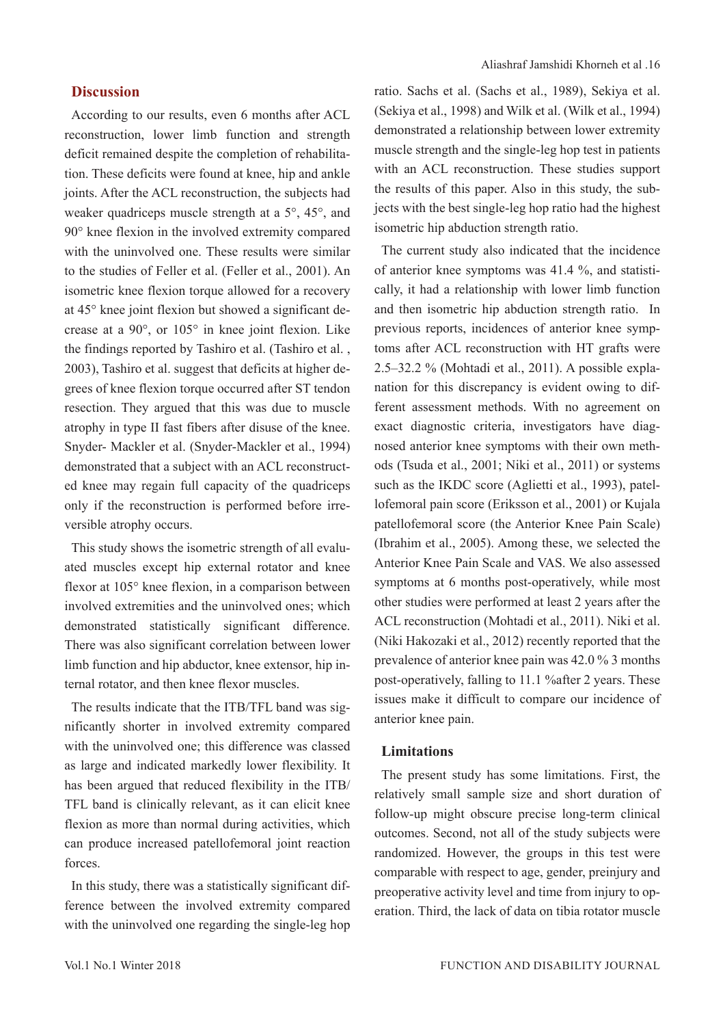## **Discussion**

According to our results, even 6 months after ACL reconstruction, lower limb function and strength deficit remained despite the completion of rehabilitation. These deficits were found at knee, hip and ankle joints. After the ACL reconstruction, the subjects had weaker quadriceps muscle strength at a 5°, 45°, and 90° knee flexion in the involved extremity compared with the uninvolved one. These results were similar to the studies of Feller et al. (Feller et al., 2001). An isometric knee flexion torque allowed for a recovery at 45° knee joint flexion but showed a significant decrease at a 90°, or 105° in knee joint flexion. Like the findings reported by Tashiro et al. (Tashiro et al. , 2003), Tashiro et al. suggest that deficits at higher degrees of knee flexion torque occurred after ST tendon resection. They argued that this was due to muscle atrophy in type II fast fibers after disuse of the knee. Snyder- Mackler et al. (Snyder-Mackler et al., 1994) demonstrated that a subject with an ACL reconstructed knee may regain full capacity of the quadriceps only if the reconstruction is performed before irreversible atrophy occurs.

This study shows the isometric strength of all evaluated muscles except hip external rotator and knee flexor at 105° knee flexion, in a comparison between involved extremities and the uninvolved ones; which demonstrated statistically significant difference. There was also significant correlation between lower limb function and hip abductor, knee extensor, hip internal rotator, and then knee flexor muscles.

The results indicate that the ITB/TFL band was significantly shorter in involved extremity compared with the uninvolved one; this difference was classed as large and indicated markedly lower flexibility. It has been argued that reduced flexibility in the ITB/ TFL band is clinically relevant, as it can elicit knee flexion as more than normal during activities, which can produce increased patellofemoral joint reaction forces.

In this study, there was a statistically significant difference between the involved extremity compared with the uninvolved one regarding the single-leg hop

ratio. Sachs et al. (Sachs et al., 1989), Sekiya et al. (Sekiya et al., 1998) and Wilk et al. (Wilk et al., 1994) demonstrated a relationship between lower extremity muscle strength and the single-leg hop test in patients with an ACL reconstruction. These studies support the results of this paper. Also in this study, the subjects with the best single-leg hop ratio had the highest isometric hip abduction strength ratio.

The current study also indicated that the incidence of anterior knee symptoms was 41.4 %, and statistically, it had a relationship with lower limb function and then isometric hip abduction strength ratio. In previous reports, incidences of anterior knee symptoms after ACL reconstruction with HT grafts were 2.5–32.2 % (Mohtadi et al., 2011). A possible explanation for this discrepancy is evident owing to different assessment methods. With no agreement on exact diagnostic criteria, investigators have diagnosed anterior knee symptoms with their own methods (Tsuda et al., 2001; Niki et al., 2011) or systems such as the IKDC score (Aglietti et al., 1993), patellofemoral pain score (Eriksson et al., 2001) or Kujala patellofemoral score (the Anterior Knee Pain Scale) (Ibrahim et al., 2005). Among these, we selected the Anterior Knee Pain Scale and VAS. We also assessed symptoms at 6 months post-operatively, while most other studies were performed at least 2 years after the ACL reconstruction (Mohtadi et al., 2011). Niki et al. (Niki Hakozaki et al., 2012) recently reported that the prevalence of anterior knee pain was 42.0 % 3 months post-operatively, falling to 11.1 %after 2 years. These issues make it difficult to compare our incidence of anterior knee pain.

#### **Limitations**

The present study has some limitations. First, the relatively small sample size and short duration of follow-up might obscure precise long-term clinical outcomes. Second, not all of the study subjects were randomized. However, the groups in this test were comparable with respect to age, gender, preinjury and preoperative activity level and time from injury to operation. Third, the lack of data on tibia rotator muscle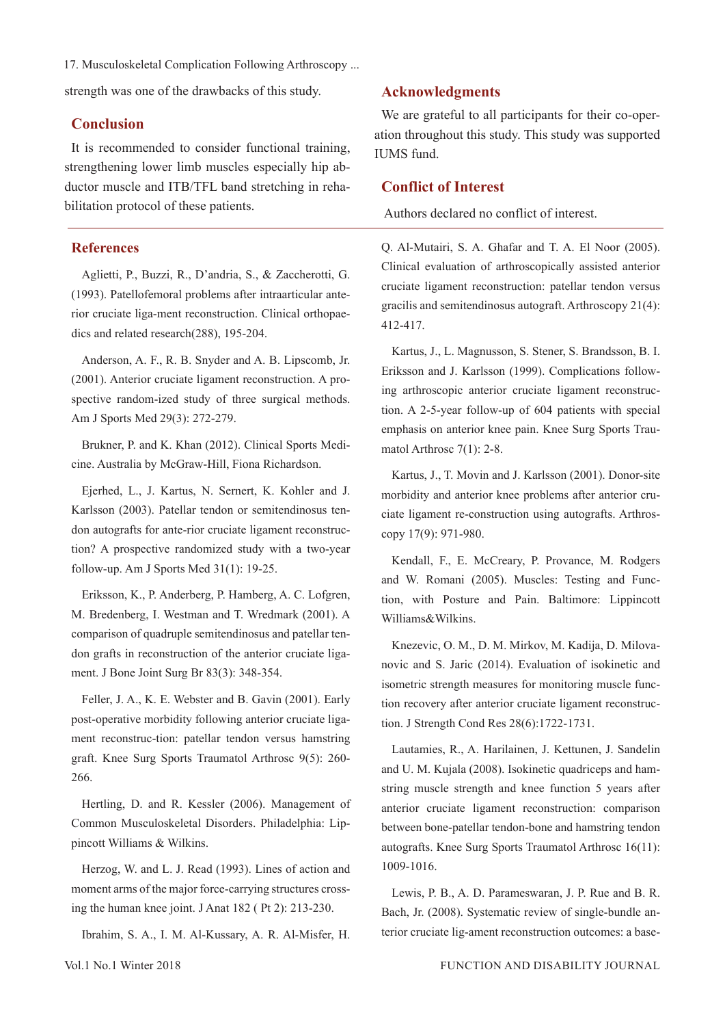17. Musculoskeletal Complication Following Arthroscopy ...

strength was one of the drawbacks of this study.

## **Conclusion**

It is recommended to consider functional training, strengthening lower limb muscles especially hip abductor muscle and ITB/TFL band stretching in rehabilitation protocol of these patients.

## **References**

Aglietti, P., Buzzi, R., D'andria, S., & Zaccherotti, G. (1993). Patellofemoral problems after intraarticular anterior cruciate liga-ment reconstruction. Clinical orthopaedics and related research(288), 195-204.

Anderson, A. F., R. B. Snyder and A. B. Lipscomb, Jr. (2001). Anterior cruciate ligament reconstruction. A prospective random-ized study of three surgical methods. Am J Sports Med 29(3): 272-279.

Brukner, P. and K. Khan (2012). Clinical Sports Medicine. Australia by McGraw-Hill, Fiona Richardson.

Ejerhed, L., J. Kartus, N. Sernert, K. Kohler and J. Karlsson (2003). Patellar tendon or semitendinosus tendon autografts for ante-rior cruciate ligament reconstruction? A prospective randomized study with a two-year follow-up. Am J Sports Med 31(1): 19-25.

Eriksson, K., P. Anderberg, P. Hamberg, A. C. Lofgren, M. Bredenberg, I. Westman and T. Wredmark (2001). A comparison of quadruple semitendinosus and patellar tendon grafts in reconstruction of the anterior cruciate ligament. J Bone Joint Surg Br 83(3): 348-354.

Feller, J. A., K. E. Webster and B. Gavin (2001). Early post-operative morbidity following anterior cruciate ligament reconstruc-tion: patellar tendon versus hamstring graft. Knee Surg Sports Traumatol Arthrosc 9(5): 260- 266.

Hertling, D. and R. Kessler (2006). Management of Common Musculoskeletal Disorders. Philadelphia: Lippincott Williams & Wilkins.

Herzog, W. and L. J. Read (1993). Lines of action and moment arms of the major force-carrying structures crossing the human knee joint. J Anat 182 ( Pt 2): 213-230.

Ibrahim, S. A., I. M. Al-Kussary, A. R. Al-Misfer, H.

**Acknowledgments**

We are grateful to all participants for their co-operation throughout this study. This study was supported IUMS fund.

## **Conflict of Interest**

Authors declared no conflict of interest.

Q. Al-Mutairi, S. A. Ghafar and T. A. El Noor (2005). Clinical evaluation of arthroscopically assisted anterior cruciate ligament reconstruction: patellar tendon versus gracilis and semitendinosus autograft. Arthroscopy 21(4): 412-417.

Kartus, J., L. Magnusson, S. Stener, S. Brandsson, B. I. Eriksson and J. Karlsson (1999). Complications following arthroscopic anterior cruciate ligament reconstruction. A 2-5-year follow-up of 604 patients with special emphasis on anterior knee pain. Knee Surg Sports Traumatol Arthrosc 7(1): 2-8.

Kartus, J., T. Movin and J. Karlsson (2001). Donor-site morbidity and anterior knee problems after anterior cruciate ligament re-construction using autografts. Arthroscopy 17(9): 971-980.

Kendall, F., E. McCreary, P. Provance, M. Rodgers and W. Romani (2005). Muscles: Testing and Function, with Posture and Pain. Baltimore: Lippincott Williams&Wilkins.

Knezevic, O. M., D. M. Mirkov, M. Kadija, D. Milovanovic and S. Jaric (2014). Evaluation of isokinetic and isometric strength measures for monitoring muscle function recovery after anterior cruciate ligament reconstruction. J Strength Cond Res 28(6):1722-1731.

Lautamies, R., A. Harilainen, J. Kettunen, J. Sandelin and U. M. Kujala (2008). Isokinetic quadriceps and hamstring muscle strength and knee function 5 years after anterior cruciate ligament reconstruction: comparison between bone-patellar tendon-bone and hamstring tendon autografts. Knee Surg Sports Traumatol Arthrosc 16(11): 1009-1016.

Lewis, P. B., A. D. Parameswaran, J. P. Rue and B. R. Bach, Jr. (2008). Systematic review of single-bundle anterior cruciate lig-ament reconstruction outcomes: a base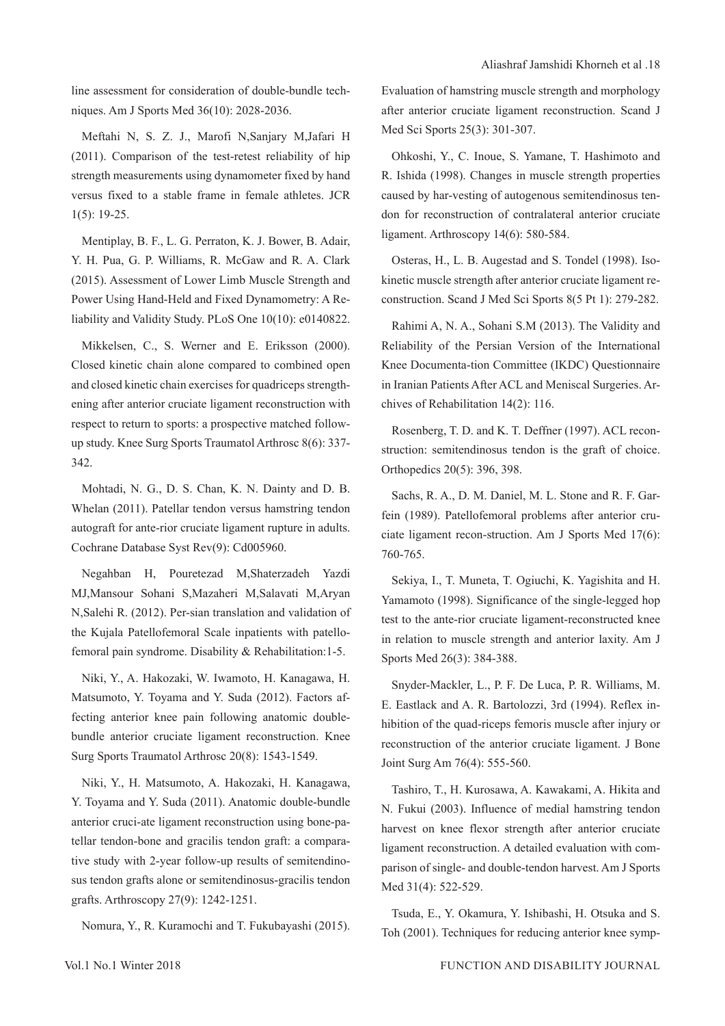line assessment for consideration of double-bundle techniques. Am J Sports Med 36(10): 2028-2036.

Meftahi N, S. Z. J., Marofi N,Sanjary M,Jafari H (2011). Comparison of the test-retest reliability of hip strength measurements using dynamometer fixed by hand versus fixed to a stable frame in female athletes. JCR 1(5): 19-25.

Mentiplay, B. F., L. G. Perraton, K. J. Bower, B. Adair, Y. H. Pua, G. P. Williams, R. McGaw and R. A. Clark (2015). Assessment of Lower Limb Muscle Strength and Power Using Hand-Held and Fixed Dynamometry: A Reliability and Validity Study. PLoS One 10(10): e0140822.

Mikkelsen, C., S. Werner and E. Eriksson (2000). Closed kinetic chain alone compared to combined open and closed kinetic chain exercises for quadriceps strengthening after anterior cruciate ligament reconstruction with respect to return to sports: a prospective matched followup study. Knee Surg Sports Traumatol Arthrosc 8(6): 337- 342.

Mohtadi, N. G., D. S. Chan, K. N. Dainty and D. B. Whelan (2011). Patellar tendon versus hamstring tendon autograft for ante-rior cruciate ligament rupture in adults. Cochrane Database Syst Rev(9): Cd005960.

Negahban H, Pouretezad M,Shaterzadeh Yazdi MJ,Mansour Sohani S,Mazaheri M,Salavati M,Aryan N,Salehi R. (2012). Per-sian translation and validation of the Kujala Patellofemoral Scale inpatients with patellofemoral pain syndrome. Disability & Rehabilitation:1-5.

Niki, Y., A. Hakozaki, W. Iwamoto, H. Kanagawa, H. Matsumoto, Y. Toyama and Y. Suda (2012). Factors affecting anterior knee pain following anatomic doublebundle anterior cruciate ligament reconstruction. Knee Surg Sports Traumatol Arthrosc 20(8): 1543-1549.

Niki, Y., H. Matsumoto, A. Hakozaki, H. Kanagawa, Y. Toyama and Y. Suda (2011). Anatomic double-bundle anterior cruci-ate ligament reconstruction using bone-patellar tendon-bone and gracilis tendon graft: a comparative study with 2-year follow-up results of semitendinosus tendon grafts alone or semitendinosus-gracilis tendon grafts. Arthroscopy 27(9): 1242-1251.

Nomura, Y., R. Kuramochi and T. Fukubayashi (2015).

Evaluation of hamstring muscle strength and morphology after anterior cruciate ligament reconstruction. Scand J Med Sci Sports 25(3): 301-307.

Ohkoshi, Y., C. Inoue, S. Yamane, T. Hashimoto and R. Ishida (1998). Changes in muscle strength properties caused by har-vesting of autogenous semitendinosus tendon for reconstruction of contralateral anterior cruciate ligament. Arthroscopy 14(6): 580-584.

Osteras, H., L. B. Augestad and S. Tondel (1998). Isokinetic muscle strength after anterior cruciate ligament reconstruction. Scand J Med Sci Sports 8(5 Pt 1): 279-282.

Rahimi A, N. A., Sohani S.M (2013). The Validity and Reliability of the Persian Version of the International Knee Documenta-tion Committee (IKDC) Questionnaire in Iranian Patients After ACL and Meniscal Surgeries. Archives of Rehabilitation 14(2): 116.

Rosenberg, T. D. and K. T. Deffner (1997). ACL reconstruction: semitendinosus tendon is the graft of choice. Orthopedics 20(5): 396, 398.

Sachs, R. A., D. M. Daniel, M. L. Stone and R. F. Garfein (1989). Patellofemoral problems after anterior cruciate ligament recon-struction. Am J Sports Med 17(6): 760-765.

Sekiya, I., T. Muneta, T. Ogiuchi, K. Yagishita and H. Yamamoto (1998). Significance of the single-legged hop test to the ante-rior cruciate ligament-reconstructed knee in relation to muscle strength and anterior laxity. Am J Sports Med 26(3): 384-388.

Snyder-Mackler, L., P. F. De Luca, P. R. Williams, M. E. Eastlack and A. R. Bartolozzi, 3rd (1994). Reflex inhibition of the quad-riceps femoris muscle after injury or reconstruction of the anterior cruciate ligament. J Bone Joint Surg Am 76(4): 555-560.

Tashiro, T., H. Kurosawa, A. Kawakami, A. Hikita and N. Fukui (2003). Influence of medial hamstring tendon harvest on knee flexor strength after anterior cruciate ligament reconstruction. A detailed evaluation with comparison of single- and double-tendon harvest. Am J Sports Med 31(4): 522-529.

Tsuda, E., Y. Okamura, Y. Ishibashi, H. Otsuka and S. Toh (2001). Techniques for reducing anterior knee symp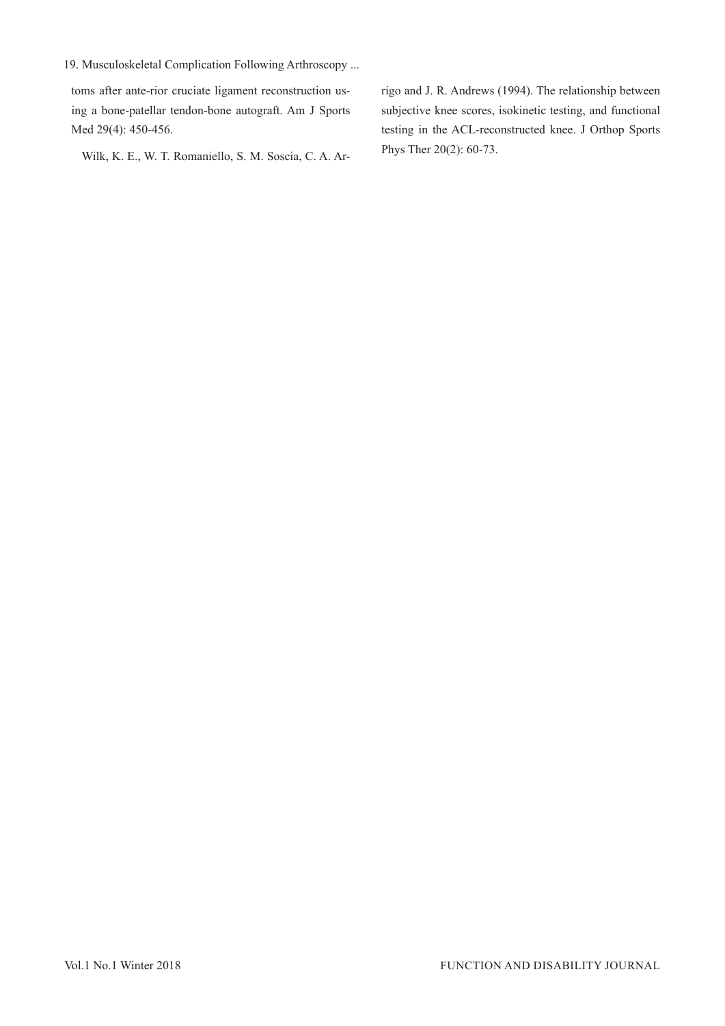19. Musculoskeletal Complication Following Arthroscopy ...

toms after ante-rior cruciate ligament reconstruction using a bone-patellar tendon-bone autograft. Am J Sports Med 29(4): 450-456.

Wilk, K. E., W. T. Romaniello, S. M. Soscia, C. A. Ar-

rigo and J. R. Andrews (1994). The relationship between subjective knee scores, isokinetic testing, and functional testing in the ACL-reconstructed knee. J Orthop Sports Phys Ther 20(2): 60-73.